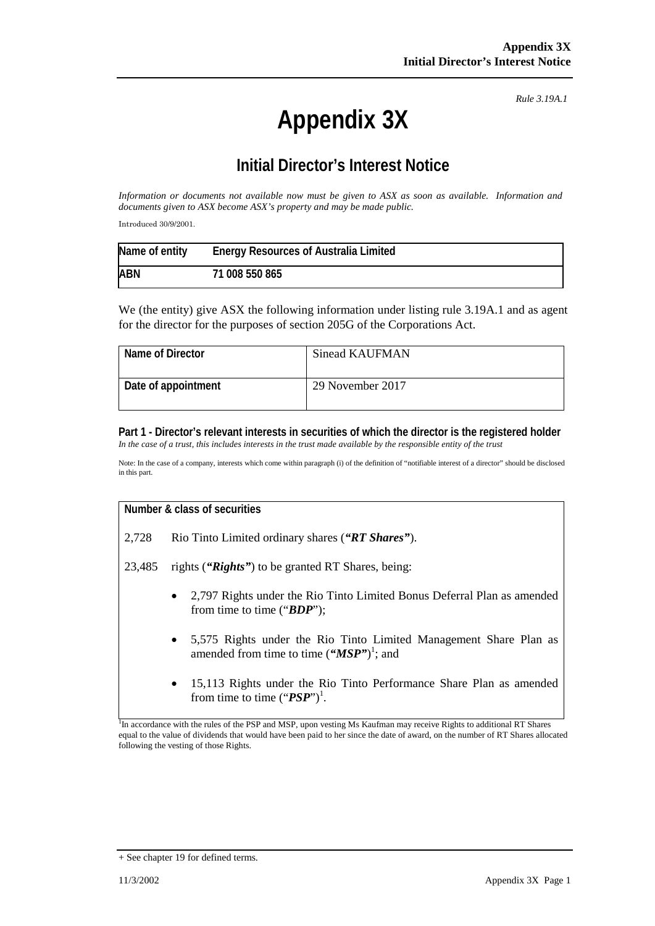# **Appendix 3X**

*Rule 3.19A.1*

## **Initial Director's Interest Notice**

*Information or documents not available now must be given to ASX as soon as available. Information and documents given to ASX become ASX's property and may be made public.*

Introduced 30/9/2001.

| Name of entity | <b>Energy Resources of Australia Limited</b> |
|----------------|----------------------------------------------|
| <b>ABN</b>     | 71 008 550 865                               |

We (the entity) give ASX the following information under listing rule 3.19A.1 and as agent for the director for the purposes of section 205G of the Corporations Act.

| Name of Director    | Sinead KAUFMAN   |
|---------------------|------------------|
| Date of appointment | 29 November 2017 |

#### **Part 1 - Director's relevant interests in securities of which the director is the registered holder** In the case of a trust, this includes interests in the trust made available by the responsible entity of the trust

Note: In the case of a company, interests which come within paragraph (i) of the definition of "notifiable interest of a director" should be disclosed in this part.

#### **Number & class of securities**

2,728 Rio Tinto Limited ordinary shares (*"RT Shares"*).

23,485 rights (*"Rights"*) to be granted RT Shares, being:

- 2,797 Rights under the Rio Tinto Limited Bonus Deferral Plan as amended from time to time ("*BDP*");
- 5,575 Rights under the Rio Tinto Limited Management Share Plan as amended from time to time ("*MSP*")<sup>1</sup>; and
- 15,113 Rights under the Rio Tinto Performance Share Plan as amended from time to time ("**PSP**")<sup>1</sup>.

<sup>1</sup>In accordance with the rules of the PSP and MSP, upon vesting Ms Kaufman may receive Rights to additional RT Shares equal to the value of dividends that would have been paid to her since the date of award, on the number of RT Shares allocated following the vesting of those Rights.

<sup>+</sup> See chapter 19 for defined terms.